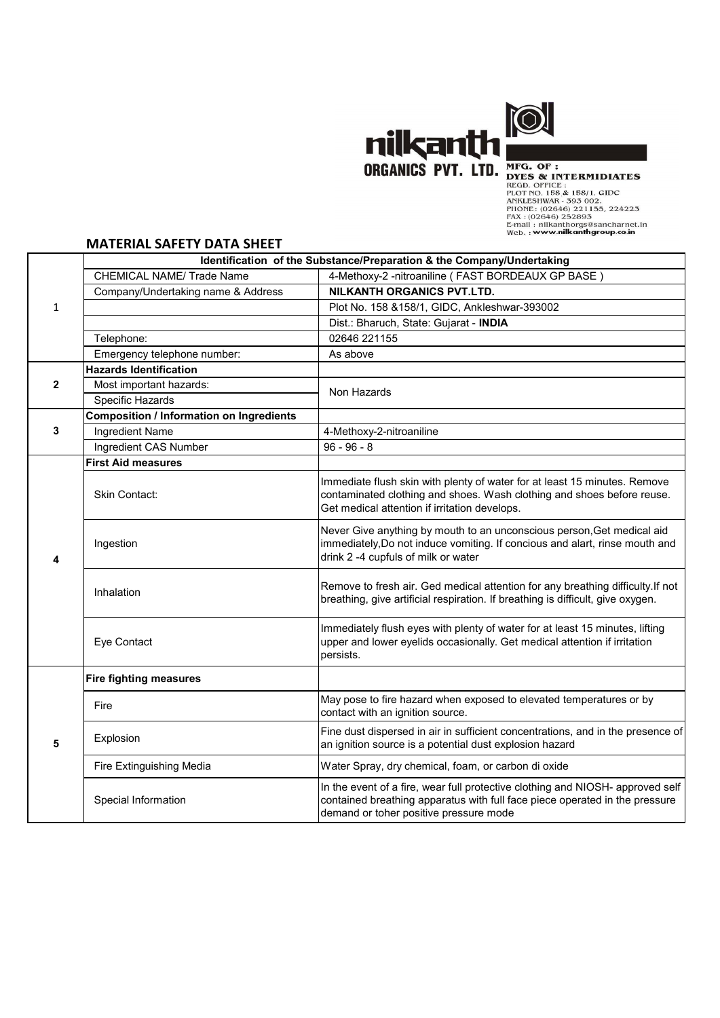

## **MATERIAL SAFETY DATA SHEET**

|              | <b>MATERIAL SAFETY DATA SHEET</b>               | nilkanth <b>"</b><br>ORGANICS PVT. LTD.<br>MFG. OF:<br><b>DYES &amp; INTERMIDIATES</b><br>REGD. OFFICE:<br>PLOT NO. 158 & 158/1, GIDC<br>ANKLESHWAR - 393 002.<br>PHONE: (02646) 221155, 224223<br>FAX: (02646) 252893<br>E-mail: nilkanthorgs@sancharnet.in<br>Web.: www.nilkanthgroup.co.in |
|--------------|-------------------------------------------------|-----------------------------------------------------------------------------------------------------------------------------------------------------------------------------------------------------------------------------------------------------------------------------------------------|
|              |                                                 | Identification of the Substance/Preparation & the Company/Undertaking                                                                                                                                                                                                                         |
|              | <b>CHEMICAL NAME/ Trade Name</b>                | 4-Methoxy-2 -nitroaniline (FAST BORDEAUX GP BASE)                                                                                                                                                                                                                                             |
|              | Company/Undertaking name & Address              | <b>NILKANTH ORGANICS PVT.LTD.</b>                                                                                                                                                                                                                                                             |
| $\mathbf{1}$ |                                                 | Plot No. 158 & 158/1, GIDC, Ankleshwar-393002                                                                                                                                                                                                                                                 |
|              |                                                 | Dist.: Bharuch, State: Gujarat - INDIA                                                                                                                                                                                                                                                        |
|              | Telephone:                                      | 02646 221155                                                                                                                                                                                                                                                                                  |
|              | Emergency telephone number:                     | As above                                                                                                                                                                                                                                                                                      |
| $\mathbf{2}$ | <b>Hazards Identification</b>                   |                                                                                                                                                                                                                                                                                               |
|              | Most important hazards:                         | Non Hazards                                                                                                                                                                                                                                                                                   |
|              | Specific Hazards                                |                                                                                                                                                                                                                                                                                               |
| 3            | <b>Composition / Information on Ingredients</b> |                                                                                                                                                                                                                                                                                               |
|              | Ingredient Name<br>Ingredient CAS Number        | 4-Methoxy-2-nitroaniline<br>$96 - 96 - 8$                                                                                                                                                                                                                                                     |
| 4            | <b>First Aid measures</b>                       |                                                                                                                                                                                                                                                                                               |
|              | Skin Contact:                                   | Immediate flush skin with plenty of water for at least 15 minutes. Remove<br>contaminated clothing and shoes. Wash clothing and shoes before reuse.<br>Get medical attention if irritation develops.                                                                                          |
|              | Ingestion                                       | Never Give anything by mouth to an unconscious person, Get medical aid<br>immediately, Do not induce vomiting. If concious and alart, rinse mouth and<br>drink 2 -4 cupfuls of milk or water                                                                                                  |
|              | Inhalation                                      | Remove to fresh air. Ged medical attention for any breathing difficulty. If not<br>breathing, give artificial respiration. If breathing is difficult, give oxygen.                                                                                                                            |
|              | Eye Contact                                     | Immediately flush eyes with plenty of water for at least 15 minutes, lifting<br>upper and lower eyelids occasionally. Get medical attention if irritation<br>persists.                                                                                                                        |
| 5            | <b>Fire fighting measures</b>                   |                                                                                                                                                                                                                                                                                               |
|              | Fire                                            | May pose to fire hazard when exposed to elevated temperatures or by<br>contact with an ignition source.                                                                                                                                                                                       |
|              | Explosion                                       | Fine dust dispersed in air in sufficient concentrations, and in the presence of<br>an ignition source is a potential dust explosion hazard                                                                                                                                                    |
|              | Fire Extinguishing Media                        | Water Spray, dry chemical, foam, or carbon di oxide                                                                                                                                                                                                                                           |
|              | Special Information                             | In the event of a fire, wear full protective clothing and NIOSH- approved self<br>contained breathing apparatus with full face piece operated in the pressure<br>demand or toher positive pressure mode                                                                                       |